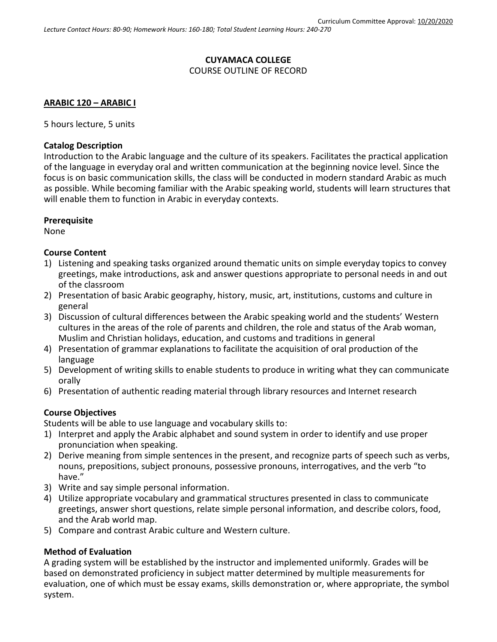# **CUYAMACA COLLEGE** COURSE OUTLINE OF RECORD

# **ARABIC 120 – ARABIC I**

5 hours lecture, 5 units

#### **Catalog Description**

Introduction to the Arabic language and the culture of its speakers. Facilitates the practical application of the language in everyday oral and written communication at the beginning novice level. Since the focus is on basic communication skills, the class will be conducted in modern standard Arabic as much as possible. While becoming familiar with the Arabic speaking world, students will learn structures that will enable them to function in Arabic in everyday contexts.

## **Prerequisite**

None

## **Course Content**

- 1) Listening and speaking tasks organized around thematic units on simple everyday topics to convey greetings, make introductions, ask and answer questions appropriate to personal needs in and out of the classroom
- 2) Presentation of basic Arabic geography, history, music, art, institutions, customs and culture in general
- 3) Discussion of cultural differences between the Arabic speaking world and the students' Western cultures in the areas of the role of parents and children, the role and status of the Arab woman, Muslim and Christian holidays, education, and customs and traditions in general
- 4) Presentation of grammar explanations to facilitate the acquisition of oral production of the language
- 5) Development of writing skills to enable students to produce in writing what they can communicate orally
- 6) Presentation of authentic reading material through library resources and Internet research

## **Course Objectives**

Students will be able to use language and vocabulary skills to:

- 1) Interpret and apply the Arabic alphabet and sound system in order to identify and use proper pronunciation when speaking.
- 2) Derive meaning from simple sentences in the present, and recognize parts of speech such as verbs, nouns, prepositions, subject pronouns, possessive pronouns, interrogatives, and the verb "to have."
- 3) Write and say simple personal information.
- 4) Utilize appropriate vocabulary and grammatical structures presented in class to communicate greetings, answer short questions, relate simple personal information, and describe colors, food, and the Arab world map.
- 5) Compare and contrast Arabic culture and Western culture.

## **Method of Evaluation**

A grading system will be established by the instructor and implemented uniformly. Grades will be based on demonstrated proficiency in subject matter determined by multiple measurements for evaluation, one of which must be essay exams, skills demonstration or, where appropriate, the symbol system.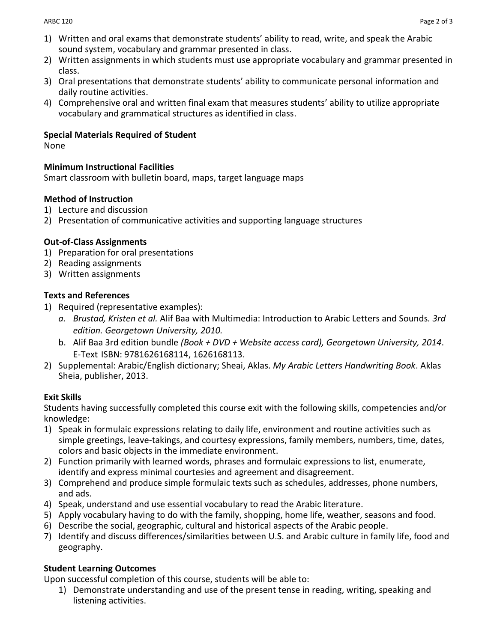- 1) Written and oral exams that demonstrate students' ability to read, write, and speak the Arabic sound system, vocabulary and grammar presented in class.
- 2) Written assignments in which students must use appropriate vocabulary and grammar presented in class.
- 3) Oral presentations that demonstrate students' ability to communicate personal information and daily routine activities.
- 4) Comprehensive oral and written final exam that measures students' ability to utilize appropriate vocabulary and grammatical structures as identified in class.

## **Special Materials Required of Student**

None

# **Minimum Instructional Facilities**

Smart classroom with bulletin board, maps, target language maps

# **Method of Instruction**

- 1) Lecture and discussion
- 2) Presentation of communicative activities and supporting language structures

# **Out-of-Class Assignments**

- 1) Preparation for oral presentations
- 2) Reading assignments
- 3) Written assignments

# **Texts and References**

- 1) Required (representative examples):
	- *a. Brustad, Kristen et al.* Alif Baa with Multimedia: Introduction to Arabic Letters and Sounds*. 3rd edition. Georgetown University, 2010.*
	- b. Alif Baa 3rd edition bundle *(Book + DVD + Website access card), Georgetown University, 2014*. E-Text ISBN: 9781626168114, 1626168113.
- 2) Supplemental: Arabic/English dictionary; Sheai, Aklas. *My Arabic Letters Handwriting Book*. Aklas Sheia, publisher, 2013.

## **Exit Skills**

Students having successfully completed this course exit with the following skills, competencies and/or knowledge:

- 1) Speak in formulaic expressions relating to daily life, environment and routine activities such as simple greetings, leave-takings, and courtesy expressions, family members, numbers, time, dates, colors and basic objects in the immediate environment.
- 2) Function primarily with learned words, phrases and formulaic expressions to list, enumerate, identify and express minimal courtesies and agreement and disagreement.
- 3) Comprehend and produce simple formulaic texts such as schedules, addresses, phone numbers, and ads.
- 4) Speak, understand and use essential vocabulary to read the Arabic literature.
- 5) Apply vocabulary having to do with the family, shopping, home life, weather, seasons and food.
- 6) Describe the social, geographic, cultural and historical aspects of the Arabic people.
- 7) Identify and discuss differences/similarities between U.S. and Arabic culture in family life, food and geography.

# **Student Learning Outcomes**

Upon successful completion of this course, students will be able to:

1) Demonstrate understanding and use of the present tense in reading, writing, speaking and listening activities.